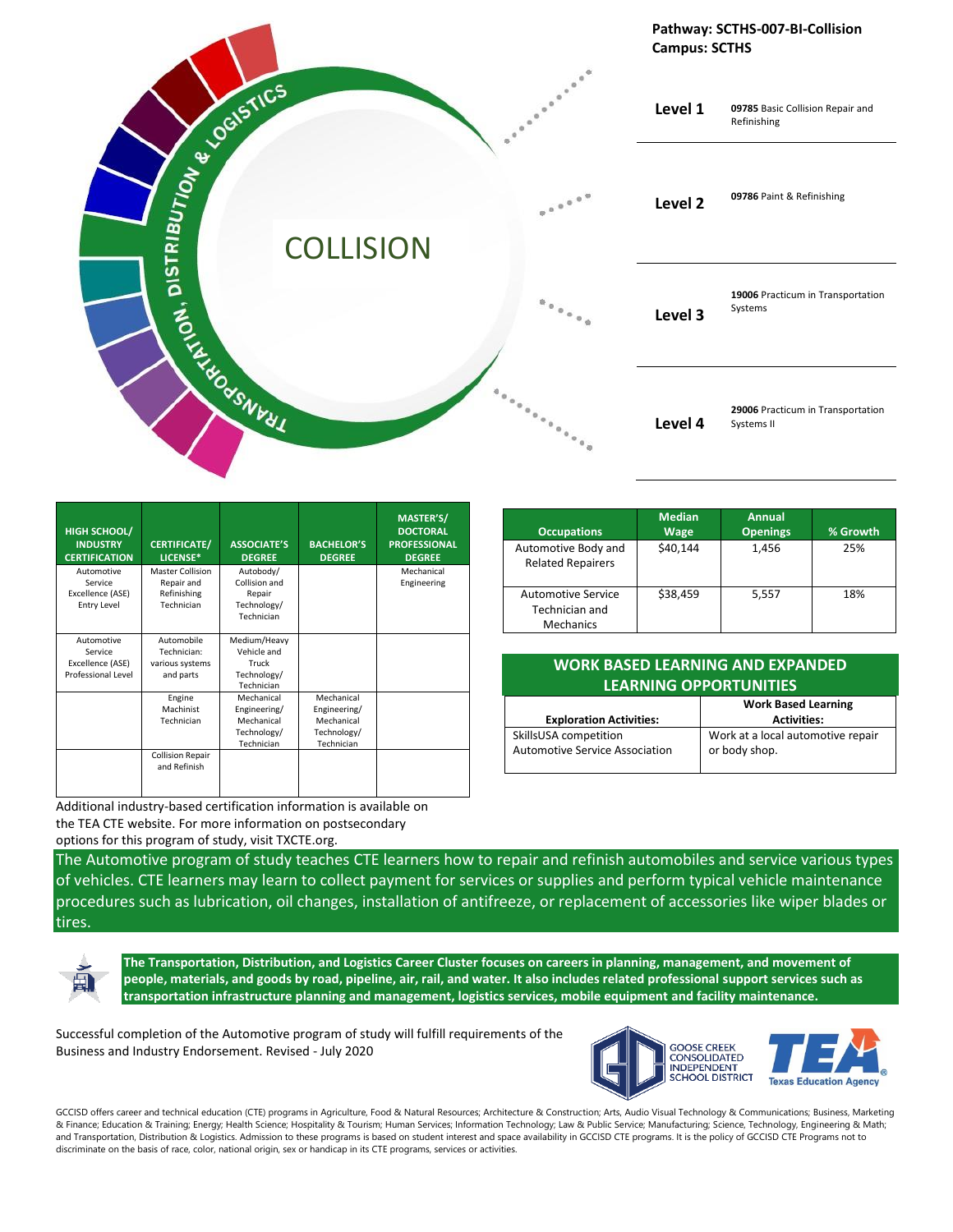

| HIGH SCHOOL/<br><b>INDUSTRY</b><br><b>CERTIFICATION</b>  | <b>CERTIFICATE/</b><br>LICENSE*                             | <b>ASSOCIATE'S</b><br><b>DEGREE</b>                                   | <b>BACHELOR'S</b><br><b>DEGREE</b>                                    | MASTER'S/<br><b>DOCTORAL</b><br><b>PROFESSIONAL</b><br><b>DEGREE</b> |
|----------------------------------------------------------|-------------------------------------------------------------|-----------------------------------------------------------------------|-----------------------------------------------------------------------|----------------------------------------------------------------------|
| Automotive<br>Service<br>Excellence (ASE)<br>Entry Level | Master Collision<br>Repair and<br>Refinishing<br>Technician | Autobody/<br>Collision and<br>Repair<br>Technology/                   |                                                                       | Mechanical<br>Engineering                                            |
| Automotive                                               | Automobile                                                  | Technician<br>Medium/Heavy                                            |                                                                       |                                                                      |
| Service<br>Excellence (ASE)<br>Professional Level        | Technician:<br>various systems                              | Vehicle and<br>Truck                                                  |                                                                       |                                                                      |
|                                                          | and parts                                                   | Technology/<br>Technician                                             |                                                                       |                                                                      |
|                                                          | Engine<br>Machinist<br>Technician                           | Mechanical<br>Engineering/<br>Mechanical<br>Technology/<br>Technician | Mechanical<br>Engineering/<br>Mechanical<br>Technology/<br>Technician |                                                                      |
|                                                          | <b>Collision Repair</b><br>and Refinish                     |                                                                       |                                                                       |                                                                      |

|                                                          | <b>Median</b> | Annual          |          |
|----------------------------------------------------------|---------------|-----------------|----------|
| <b>Occupations</b>                                       | <b>Wage</b>   | <b>Openings</b> | % Growth |
| Automotive Body and<br><b>Related Repairers</b>          | \$40.144      | 1,456           | 25%      |
| <b>Automotive Service</b><br>Technician and<br>Mechanics | \$38.459      | 5,557           | 18%      |

## **WORK BASED LEARNING AND EXPANDED LEARNING OPPORTUNITIES**

|                                       | <b>Work Based Learning</b>        |  |
|---------------------------------------|-----------------------------------|--|
| <b>Exploration Activities:</b>        | <b>Activities:</b>                |  |
| SkillsUSA competition                 | Work at a local automotive repair |  |
| <b>Automotive Service Association</b> | or body shop.                     |  |
|                                       |                                   |  |

Additional industry-based certification information is available on the TEA CTE website. For more information on postsecondary options for this program of study, visit TXCTE.org.

The Automotive program of study teaches CTE learners how to repair and refinish automobiles and service various types of vehicles. CTE learners may learn to collect payment for services or supplies and perform typical vehicle maintenance procedures such as lubrication, oil changes, installation of antifreeze, or replacement of accessories like wiper blades or tires.



**The Transportation, Distribution, and Logistics Career Cluster focuses on careers in planning, management, and movement of people, materials, and goods by road, pipeline, air, rail, and water. It also includes related professional support services such as transportation infrastructure planning and management, logistics services, mobile equipment and facility maintenance.**

Successful completion of the Automotive program of study will fulfill requirements of the Business and Industry Endorsement. Revised - July 2020



GCCISD offers career and technical education (CTE) programs in Agriculture, Food & Natural Resources; Architecture & Construction; Arts, Audio Visual Technology & Communications; Business, Marketing & Finance; Education & Training; Energy; Health Science; Hospitality & Tourism; Human Services; Information Technology; Law & Public Service; Manufacturing; Science, Technology, Engineering & Math; and Transportation, Distribution & Logistics. Admission to these programs is based on student interest and space availability in GCCISD CTE programs. It is the policy of GCCISD CTE Programs not to discriminate on the basis of race, color, national origin, sex or handicap in its CTE programs, services or activities.